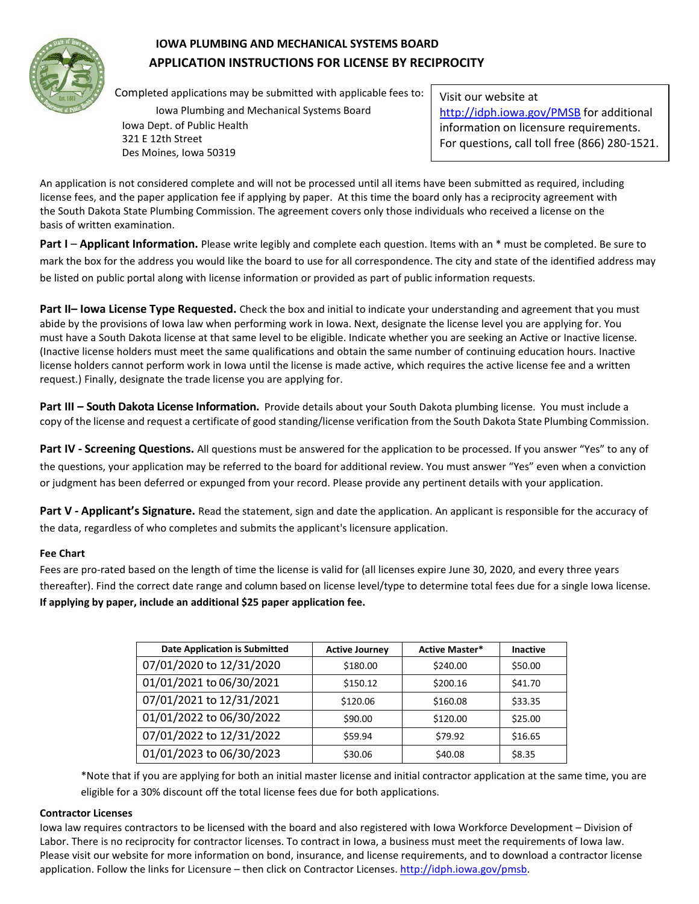

## **IOWA PLUMBING AND MECHANICAL SYSTEMS BOARD APPLICATION INSTRUCTIONS FOR LICENSE BY RECIPROCITY**

Completed applications may be submitted with applicable fees to:

Iowa Plumbing and Mechanical Systems Board Iowa Dept. of Public Health 321 E 12th Street Des Moines, Iowa 50319

Visit our website at <http://idph.iowa.gov/PMSB> for additional information on licensure requirements. For questions, call toll free (866) 280-1521.

An application is not considered complete and will not be processed until all items have been submitted as required, including license fees, and the paper application fee if applying by paper. At this time the board only has a reciprocity agreement with the South Dakota State Plumbing Commission. The agreement covers only those individuals who received a license on the basis of written examination.

**Part I** – **Applicant Information.** Please write legibly and complete each question. Items with an \* must be completed. Be sure to mark the box for the address you would like the board to use for all correspondence. The city and state of the identified address may be listed on public portal along with license information or provided as part of public information requests.

**Part II– Iowa License Type Requested.** Check the box and initial to indicate your understanding and agreement that you must abide by the provisions of Iowa law when performing work in Iowa. Next, designate the license level you are applying for. You must have a South Dakota license at that same level to be eligible. Indicate whether you are seeking an Active or Inactive license. (Inactive license holders must meet the same qualifications and obtain the same number of continuing education hours. Inactive license holders cannot perform work in Iowa until the license is made active, which requires the active license fee and a written request.) Finally, designate the trade license you are applying for.

**Part III – South Dakota License Information.** Provide details about your South Dakota plumbing license. You must include a copy of the license and request a certificate of good standing/license verification from the South Dakota State Plumbing Commission.

**Part IV - Screening Questions.** All questions must be answered for the application to be processed. If you answer "Yes" to any of the questions, your application may be referred to the board for additional review. You must answer "Yes" even when a conviction or judgment has been deferred or expunged from your record. Please provide any pertinent details with your application.

Part V - Applicant's Signature. Read the statement, sign and date the application. An applicant is responsible for the accuracy of the data, regardless of who completes and submits the applicant's licensure application.

#### **Fee Chart**

Fees are pro-rated based on the length of time the license is valid for (all licenses expire June 30, 2020, and every three years thereafter). Find the correct date range and column based on license level/type to determine total fees due for a single Iowa license. **If applying by paper, include an additional \$25 paper application fee.**

| <b>Date Application is Submitted</b> | <b>Active Journey</b> | <b>Active Master*</b> | <b>Inactive</b> |
|--------------------------------------|-----------------------|-----------------------|-----------------|
| 07/01/2020 to 12/31/2020             | \$180.00              | \$240.00              | \$50.00         |
| 01/01/2021 to 06/30/2021             | \$150.12              | \$200.16              | \$41.70         |
| 07/01/2021 to 12/31/2021             | \$120.06              | \$160.08              | \$33.35         |
| 01/01/2022 to 06/30/2022             | \$90.00               | \$120.00              | \$25.00         |
| 07/01/2022 to 12/31/2022             | \$59.94               | \$79.92               | \$16.65         |
| 01/01/2023 to 06/30/2023             | \$30.06               | \$40.08               | \$8.35          |

\*Note that if you are applying for both an initial master license and initial contractor application at the same time, you are eligible for a 30% discount off the total license fees due for both applications.

#### **Contractor Licenses**

Iowa law requires contractors to be licensed with the board and also registered with Iowa Workforce Development – Division of Labor. There is no reciprocity for contractor licenses. To contract in Iowa, a business must meet the requirements of Iowa law. Please visit our website for more information on bond, insurance, and license requirements, and to download a contractor license application. Follow the links for Licensure – then click on Contractor Licenses. [http://idph.iowa.gov/pmsb.](http://idph.iowa.gov/pmsb)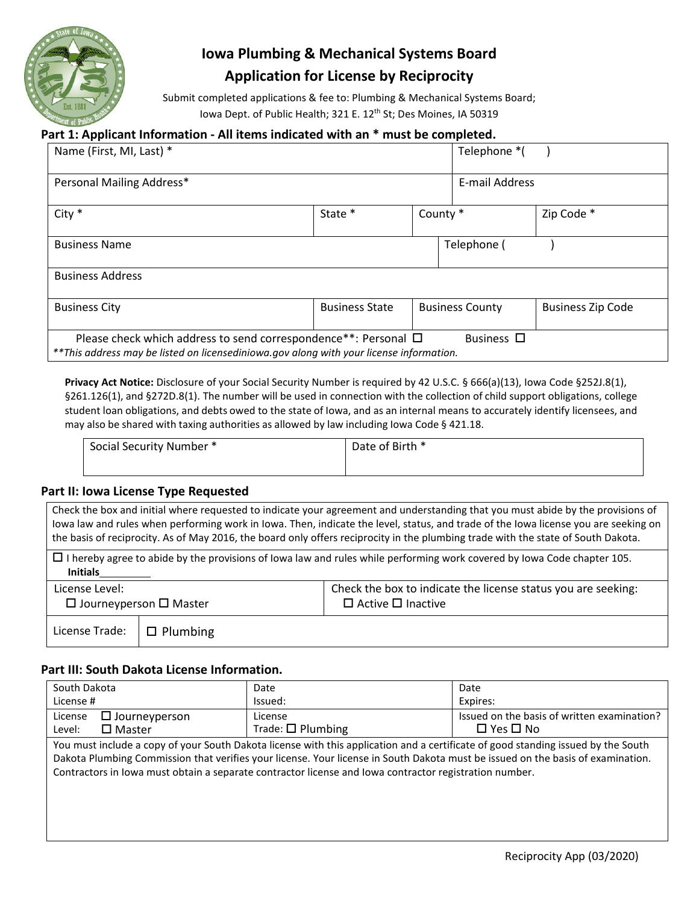

# **Iowa Plumbing & Mechanical Systems Board Application for License by Reciprocity**

Submit completed applications & fee to: Plumbing & Mechanical Systems Board; Iowa Dept. of Public Health; 321 E. 12<sup>th</sup> St; Des Moines, IA 50319

## **Part 1: Applicant Information - All items indicated with an \* must be completed.**

| Name (First, MI, Last) *                                                                                                                                                 |                       |                     | Telephone *(           |                          |
|--------------------------------------------------------------------------------------------------------------------------------------------------------------------------|-----------------------|---------------------|------------------------|--------------------------|
| Personal Mailing Address*                                                                                                                                                |                       |                     | E-mail Address         |                          |
| $City *$                                                                                                                                                                 | State *               | County <sup>*</sup> |                        | Zip Code *               |
| <b>Business Name</b>                                                                                                                                                     |                       |                     | Telephone (            |                          |
| <b>Business Address</b>                                                                                                                                                  |                       |                     |                        |                          |
| <b>Business City</b>                                                                                                                                                     | <b>Business State</b> |                     | <b>Business County</b> | <b>Business Zip Code</b> |
| Please check which address to send correspondence**: Personal □<br>Business □<br>**This address may be listed on licensediniowa.gov along with your license information. |                       |                     |                        |                          |

**Privacy Act Notice:** Disclosure of your Social Security Number is required by 42 U.S.C. § 666(a)(13), Iowa Code §252J.8(1), §261.126(1), and §272D.8(1). The number will be used in connection with the collection of child support obligations, college student loan obligations, and debts owed to the state of Iowa, and as an internal means to accurately identify licensees, and may also be shared with taxing authorities as allowed by law including Iowa Code § 421.18.

| Social Security Number * | Date of Birth * |
|--------------------------|-----------------|
|                          |                 |

## **Part II: Iowa License Type Requested**

| Check the box and initial where requested to indicate your agreement and understanding that you must abide by the provisions of<br>lowa law and rules when performing work in lowa. Then, indicate the level, status, and trade of the lowa license you are seeking on<br>the basis of reciprocity. As of May 2016, the board only offers reciprocity in the plumbing trade with the state of South Dakota. |                 |                                                                                                |  |
|-------------------------------------------------------------------------------------------------------------------------------------------------------------------------------------------------------------------------------------------------------------------------------------------------------------------------------------------------------------------------------------------------------------|-----------------|------------------------------------------------------------------------------------------------|--|
| $\Box$ I hereby agree to abide by the provisions of lowa law and rules while performing work covered by lowa Code chapter 105.<br><b>Initials</b>                                                                                                                                                                                                                                                           |                 |                                                                                                |  |
| License Level:<br>$\Box$ Journeyperson $\Box$ Master                                                                                                                                                                                                                                                                                                                                                        |                 | Check the box to indicate the license status you are seeking:<br>$\Box$ Active $\Box$ Inactive |  |
| License Trade:                                                                                                                                                                                                                                                                                                                                                                                              | $\Box$ Plumbing |                                                                                                |  |

## **Part III: South Dakota License Information.**

| South Dakota                                                                                                                                                                                                                                                                                                                                                                   | Date                                 | Date                                                                |
|--------------------------------------------------------------------------------------------------------------------------------------------------------------------------------------------------------------------------------------------------------------------------------------------------------------------------------------------------------------------------------|--------------------------------------|---------------------------------------------------------------------|
| License #                                                                                                                                                                                                                                                                                                                                                                      | Issued:                              | Expires:                                                            |
| License<br>$\Box$ Journeyperson<br>Level:                                                                                                                                                                                                                                                                                                                                      | License<br>Trade: $\square$ Plumbing | Issued on the basis of written examination?<br>$\Box$ Yes $\Box$ No |
| $\square$ Master                                                                                                                                                                                                                                                                                                                                                               |                                      |                                                                     |
| You must include a copy of your South Dakota license with this application and a certificate of good standing issued by the South<br>Dakota Plumbing Commission that verifies your license. Your license in South Dakota must be issued on the basis of examination.<br>Contractors in lowa must obtain a separate contractor license and lowa contractor registration number. |                                      |                                                                     |